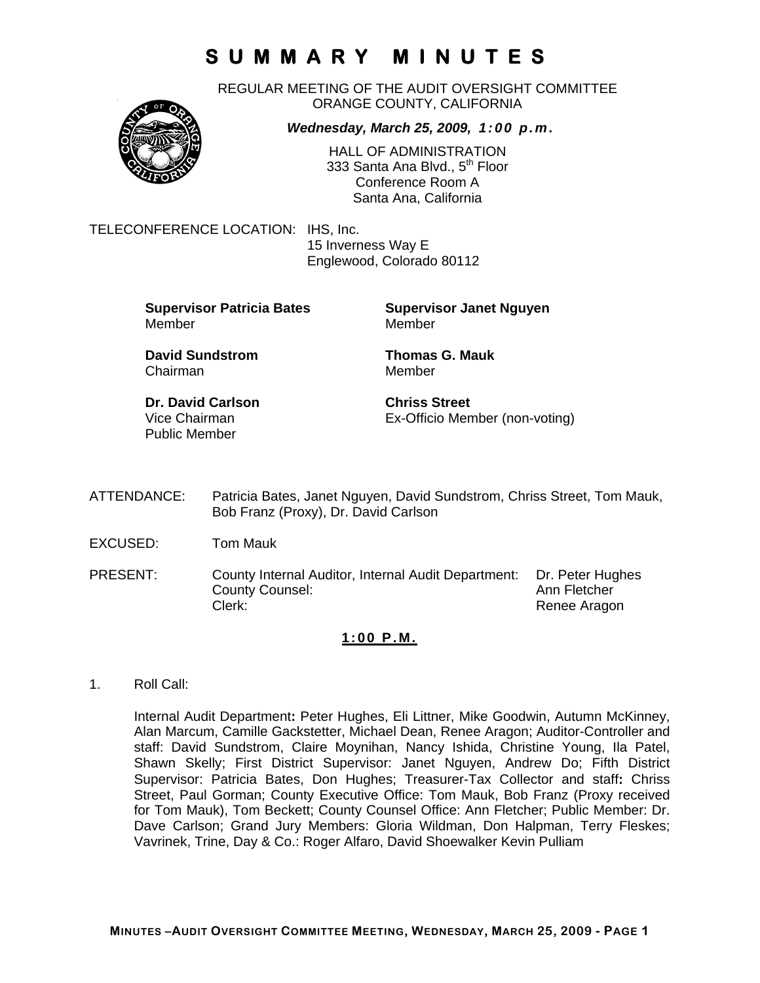REGULAR MEETING OF THE AUDIT OVERSIGHT COMMITTEE ORANGE COUNTY, CALIFORNIA

### *Wednesday, March 25, 2009, 1:00 p.m.*

HALL OF ADMINISTRATION 333 Santa Ana Blvd., 5<sup>th</sup> Floor Conference Room A Santa Ana, California

TELECONFERENCE LOCATION: IHS, Inc.

 15 Inverness Way E Englewood, Colorado 80112

**Supervisor Patricia Bates Supervisor Janet Nguyen** Member Member

Chairman Member

**David Sundstrom Thomas G. Mauk** 

**Dr. David Carlson Chriss Street** Public Member

Vice Chairman Ex-Officio Member (non-voting)

- ATTENDANCE: Patricia Bates, Janet Nguyen, David Sundstrom, Chriss Street, Tom Mauk, Bob Franz (Proxy), Dr. David Carlson
- EXCUSED: Tom Mauk
- PRESENT: County Internal Auditor, Internal Audit Department: Dr. Peter Hughes County Counsel: Counsel: County Counsel: Clerk: Clerk: Clerk: Renee Aragon

#### **1:00 P.M.**

1. Roll Call:

Internal Audit Department**:** Peter Hughes, Eli Littner, Mike Goodwin, Autumn McKinney, Alan Marcum, Camille Gackstetter, Michael Dean, Renee Aragon; Auditor-Controller and staff: David Sundstrom, Claire Moynihan, Nancy Ishida, Christine Young, Ila Patel, Shawn Skelly; First District Supervisor: Janet Nguyen, Andrew Do; Fifth District Supervisor: Patricia Bates, Don Hughes; Treasurer-Tax Collector and staff**:** Chriss Street, Paul Gorman; County Executive Office: Tom Mauk, Bob Franz (Proxy received for Tom Mauk), Tom Beckett; County Counsel Office: Ann Fletcher; Public Member: Dr. Dave Carlson; Grand Jury Members: Gloria Wildman, Don Halpman, Terry Fleskes; Vavrinek, Trine, Day & Co.: Roger Alfaro, David Shoewalker Kevin Pulliam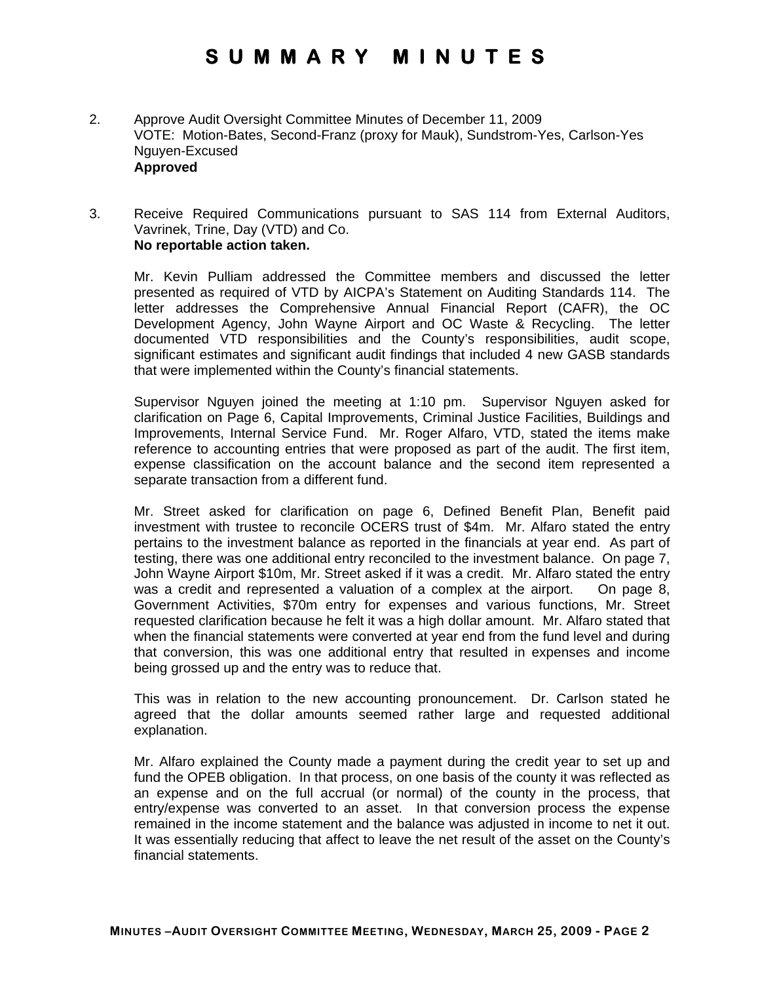- 2. Approve Audit Oversight Committee Minutes of December 11, 2009 VOTE: Motion-Bates, Second-Franz (proxy for Mauk), Sundstrom-Yes, Carlson-Yes Nguyen-Excused **Approved**
- 3. Receive Required Communications pursuant to SAS 114 from External Auditors, Vavrinek, Trine, Day (VTD) and Co. **No reportable action taken.**

Mr. Kevin Pulliam addressed the Committee members and discussed the letter presented as required of VTD by AICPA's Statement on Auditing Standards 114. The letter addresses the Comprehensive Annual Financial Report (CAFR), the OC Development Agency, John Wayne Airport and OC Waste & Recycling. The letter documented VTD responsibilities and the County's responsibilities, audit scope, significant estimates and significant audit findings that included 4 new GASB standards that were implemented within the County's financial statements.

Supervisor Nguyen joined the meeting at 1:10 pm. Supervisor Nguyen asked for clarification on Page 6, Capital Improvements, Criminal Justice Facilities, Buildings and Improvements, Internal Service Fund. Mr. Roger Alfaro, VTD, stated the items make reference to accounting entries that were proposed as part of the audit. The first item, expense classification on the account balance and the second item represented a separate transaction from a different fund.

Mr. Street asked for clarification on page 6, Defined Benefit Plan, Benefit paid investment with trustee to reconcile OCERS trust of \$4m. Mr. Alfaro stated the entry pertains to the investment balance as reported in the financials at year end. As part of testing, there was one additional entry reconciled to the investment balance. On page 7, John Wayne Airport \$10m, Mr. Street asked if it was a credit. Mr. Alfaro stated the entry was a credit and represented a valuation of a complex at the airport. On page 8, Government Activities, \$70m entry for expenses and various functions, Mr. Street requested clarification because he felt it was a high dollar amount. Mr. Alfaro stated that when the financial statements were converted at year end from the fund level and during that conversion, this was one additional entry that resulted in expenses and income being grossed up and the entry was to reduce that.

This was in relation to the new accounting pronouncement. Dr. Carlson stated he agreed that the dollar amounts seemed rather large and requested additional explanation.

Mr. Alfaro explained the County made a payment during the credit year to set up and fund the OPEB obligation. In that process, on one basis of the county it was reflected as an expense and on the full accrual (or normal) of the county in the process, that entry/expense was converted to an asset. In that conversion process the expense remained in the income statement and the balance was adjusted in income to net it out. It was essentially reducing that affect to leave the net result of the asset on the County's financial statements.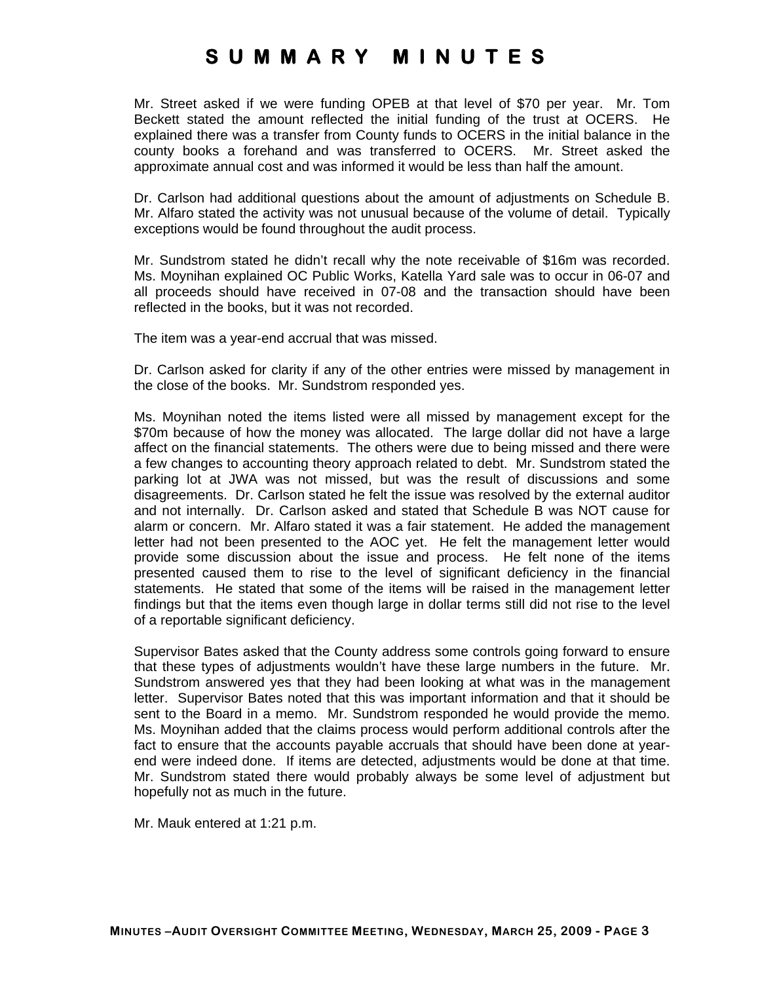Mr. Street asked if we were funding OPEB at that level of \$70 per year. Mr. Tom Beckett stated the amount reflected the initial funding of the trust at OCERS. He explained there was a transfer from County funds to OCERS in the initial balance in the county books a forehand and was transferred to OCERS. Mr. Street asked the approximate annual cost and was informed it would be less than half the amount.

Dr. Carlson had additional questions about the amount of adjustments on Schedule B. Mr. Alfaro stated the activity was not unusual because of the volume of detail. Typically exceptions would be found throughout the audit process.

Mr. Sundstrom stated he didn't recall why the note receivable of \$16m was recorded. Ms. Moynihan explained OC Public Works, Katella Yard sale was to occur in 06-07 and all proceeds should have received in 07-08 and the transaction should have been reflected in the books, but it was not recorded.

The item was a year-end accrual that was missed.

Dr. Carlson asked for clarity if any of the other entries were missed by management in the close of the books. Mr. Sundstrom responded yes.

Ms. Moynihan noted the items listed were all missed by management except for the \$70m because of how the money was allocated. The large dollar did not have a large affect on the financial statements. The others were due to being missed and there were a few changes to accounting theory approach related to debt. Mr. Sundstrom stated the parking lot at JWA was not missed, but was the result of discussions and some disagreements. Dr. Carlson stated he felt the issue was resolved by the external auditor and not internally. Dr. Carlson asked and stated that Schedule B was NOT cause for alarm or concern. Mr. Alfaro stated it was a fair statement. He added the management letter had not been presented to the AOC yet. He felt the management letter would provide some discussion about the issue and process. He felt none of the items presented caused them to rise to the level of significant deficiency in the financial statements. He stated that some of the items will be raised in the management letter findings but that the items even though large in dollar terms still did not rise to the level of a reportable significant deficiency.

Supervisor Bates asked that the County address some controls going forward to ensure that these types of adjustments wouldn't have these large numbers in the future. Mr. Sundstrom answered yes that they had been looking at what was in the management letter. Supervisor Bates noted that this was important information and that it should be sent to the Board in a memo. Mr. Sundstrom responded he would provide the memo. Ms. Moynihan added that the claims process would perform additional controls after the fact to ensure that the accounts payable accruals that should have been done at yearend were indeed done. If items are detected, adjustments would be done at that time. Mr. Sundstrom stated there would probably always be some level of adjustment but hopefully not as much in the future.

Mr. Mauk entered at 1:21 p.m.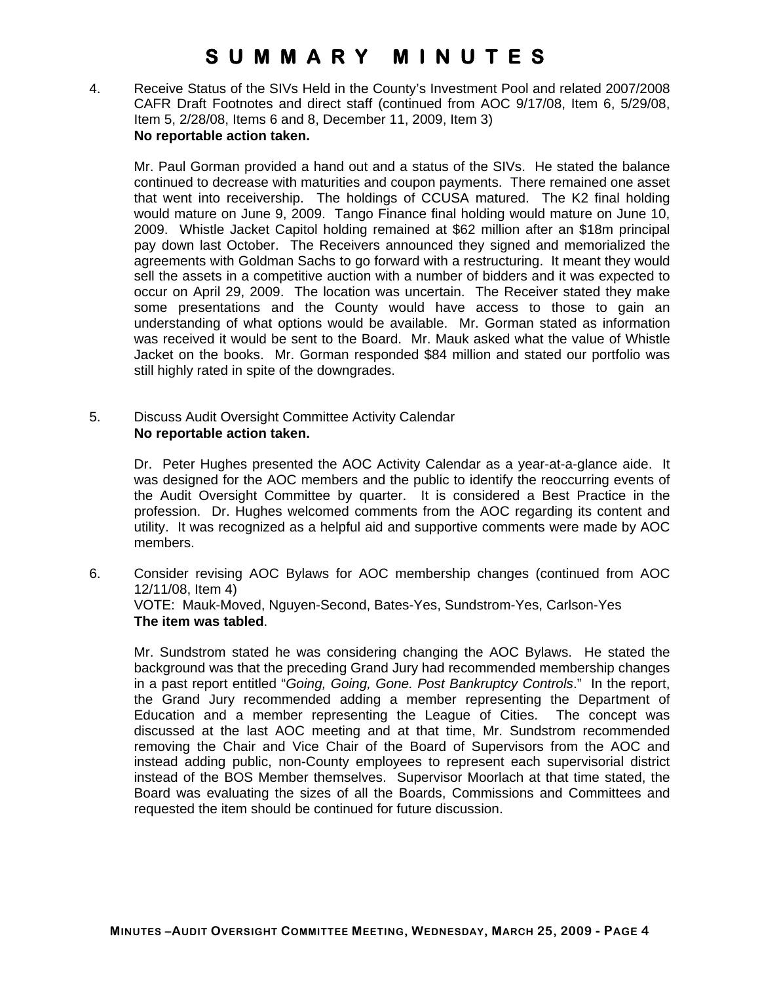4. Receive Status of the SIVs Held in the County's Investment Pool and related 2007/2008 CAFR Draft Footnotes and direct staff (continued from AOC 9/17/08, Item 6, 5/29/08, Item 5, 2/28/08, Items 6 and 8, December 11, 2009, Item 3) **No reportable action taken.** 

Mr. Paul Gorman provided a hand out and a status of the SIVs. He stated the balance continued to decrease with maturities and coupon payments. There remained one asset that went into receivership. The holdings of CCUSA matured. The K2 final holding would mature on June 9, 2009. Tango Finance final holding would mature on June 10, 2009. Whistle Jacket Capitol holding remained at \$62 million after an \$18m principal pay down last October. The Receivers announced they signed and memorialized the agreements with Goldman Sachs to go forward with a restructuring. It meant they would sell the assets in a competitive auction with a number of bidders and it was expected to occur on April 29, 2009. The location was uncertain. The Receiver stated they make some presentations and the County would have access to those to gain an understanding of what options would be available. Mr. Gorman stated as information was received it would be sent to the Board. Mr. Mauk asked what the value of Whistle Jacket on the books. Mr. Gorman responded \$84 million and stated our portfolio was still highly rated in spite of the downgrades.

5. Discuss Audit Oversight Committee Activity Calendar **No reportable action taken.** 

> Dr. Peter Hughes presented the AOC Activity Calendar as a year-at-a-glance aide. It was designed for the AOC members and the public to identify the reoccurring events of the Audit Oversight Committee by quarter. It is considered a Best Practice in the profession. Dr. Hughes welcomed comments from the AOC regarding its content and utility. It was recognized as a helpful aid and supportive comments were made by AOC members.

6. Consider revising AOC Bylaws for AOC membership changes (continued from AOC 12/11/08, Item 4) VOTE: Mauk-Moved, Nguyen-Second, Bates-Yes, Sundstrom-Yes, Carlson-Yes **The item was tabled**.

Mr. Sundstrom stated he was considering changing the AOC Bylaws. He stated the background was that the preceding Grand Jury had recommended membership changes in a past report entitled "*Going, Going, Gone. Post Bankruptcy Controls*." In the report, the Grand Jury recommended adding a member representing the Department of Education and a member representing the League of Cities. The concept was discussed at the last AOC meeting and at that time, Mr. Sundstrom recommended removing the Chair and Vice Chair of the Board of Supervisors from the AOC and instead adding public, non-County employees to represent each supervisorial district instead of the BOS Member themselves. Supervisor Moorlach at that time stated, the Board was evaluating the sizes of all the Boards, Commissions and Committees and requested the item should be continued for future discussion.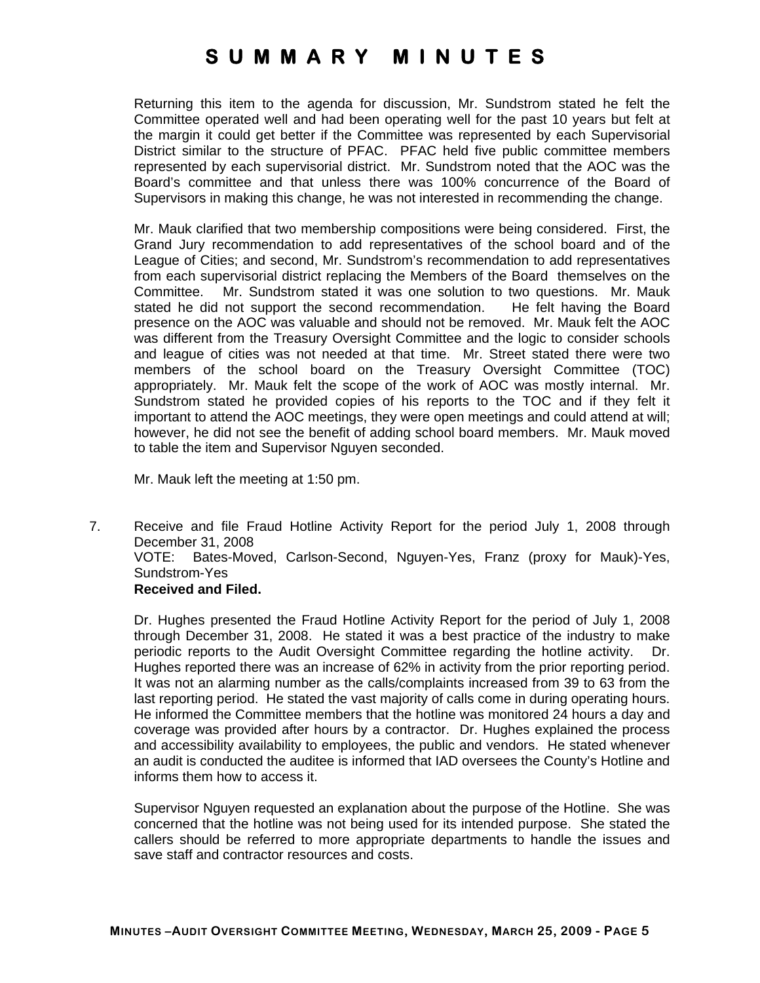Returning this item to the agenda for discussion, Mr. Sundstrom stated he felt the Committee operated well and had been operating well for the past 10 years but felt at the margin it could get better if the Committee was represented by each Supervisorial District similar to the structure of PFAC. PFAC held five public committee members represented by each supervisorial district. Mr. Sundstrom noted that the AOC was the Board's committee and that unless there was 100% concurrence of the Board of Supervisors in making this change, he was not interested in recommending the change.

Mr. Mauk clarified that two membership compositions were being considered. First, the Grand Jury recommendation to add representatives of the school board and of the League of Cities; and second, Mr. Sundstrom's recommendation to add representatives from each supervisorial district replacing the Members of the Board themselves on the Committee. Mr. Sundstrom stated it was one solution to two questions. Mr. Mauk stated he did not support the second recommendation. He felt having the Board presence on the AOC was valuable and should not be removed. Mr. Mauk felt the AOC was different from the Treasury Oversight Committee and the logic to consider schools and league of cities was not needed at that time. Mr. Street stated there were two members of the school board on the Treasury Oversight Committee (TOC) appropriately. Mr. Mauk felt the scope of the work of AOC was mostly internal. Mr. Sundstrom stated he provided copies of his reports to the TOC and if they felt it important to attend the AOC meetings, they were open meetings and could attend at will; however, he did not see the benefit of adding school board members. Mr. Mauk moved to table the item and Supervisor Nguyen seconded.

Mr. Mauk left the meeting at 1:50 pm.

7. Receive and file Fraud Hotline Activity Report for the period July 1, 2008 through December 31, 2008 VOTE: Bates-Moved, Carlson-Second, Nguyen-Yes, Franz (proxy for Mauk)-Yes, Sundstrom-Yes **Received and Filed.** 

Dr. Hughes presented the Fraud Hotline Activity Report for the period of July 1, 2008 through December 31, 2008. He stated it was a best practice of the industry to make periodic reports to the Audit Oversight Committee regarding the hotline activity. Dr. Hughes reported there was an increase of 62% in activity from the prior reporting period. It was not an alarming number as the calls/complaints increased from 39 to 63 from the last reporting period. He stated the vast majority of calls come in during operating hours. He informed the Committee members that the hotline was monitored 24 hours a day and coverage was provided after hours by a contractor. Dr. Hughes explained the process and accessibility availability to employees, the public and vendors. He stated whenever an audit is conducted the auditee is informed that IAD oversees the County's Hotline and informs them how to access it.

Supervisor Nguyen requested an explanation about the purpose of the Hotline. She was concerned that the hotline was not being used for its intended purpose. She stated the callers should be referred to more appropriate departments to handle the issues and save staff and contractor resources and costs.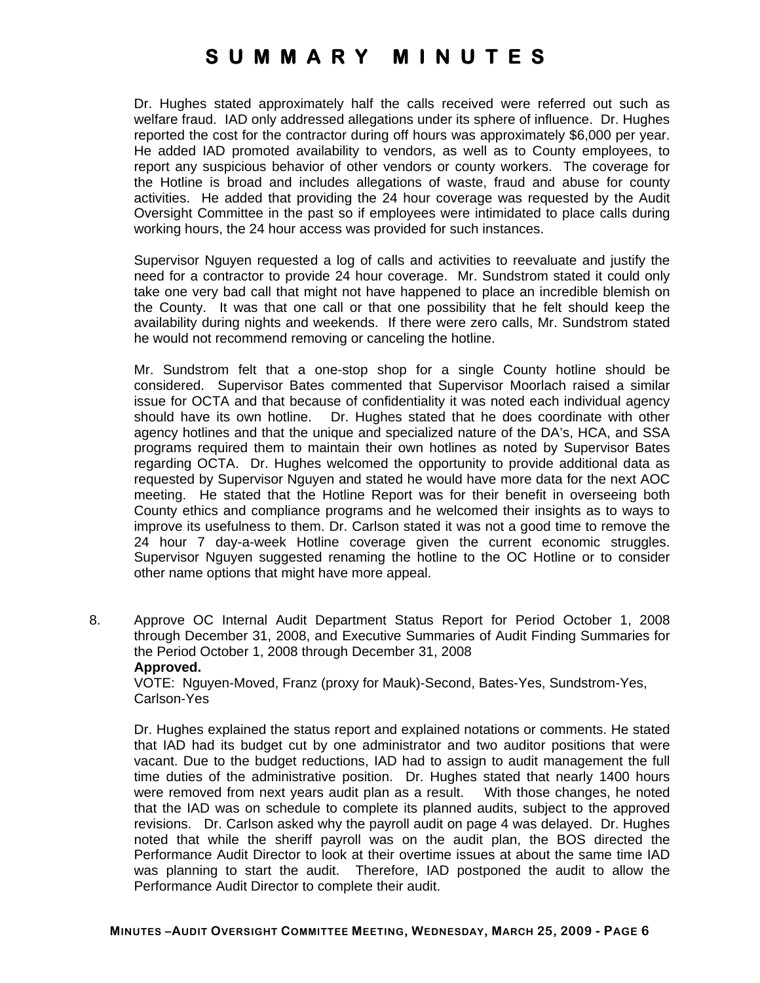Dr. Hughes stated approximately half the calls received were referred out such as welfare fraud. IAD only addressed allegations under its sphere of influence. Dr. Hughes reported the cost for the contractor during off hours was approximately \$6,000 per year. He added IAD promoted availability to vendors, as well as to County employees, to report any suspicious behavior of other vendors or county workers. The coverage for the Hotline is broad and includes allegations of waste, fraud and abuse for county activities. He added that providing the 24 hour coverage was requested by the Audit Oversight Committee in the past so if employees were intimidated to place calls during working hours, the 24 hour access was provided for such instances.

Supervisor Nguyen requested a log of calls and activities to reevaluate and justify the need for a contractor to provide 24 hour coverage. Mr. Sundstrom stated it could only take one very bad call that might not have happened to place an incredible blemish on the County. It was that one call or that one possibility that he felt should keep the availability during nights and weekends. If there were zero calls, Mr. Sundstrom stated he would not recommend removing or canceling the hotline.

Mr. Sundstrom felt that a one-stop shop for a single County hotline should be considered. Supervisor Bates commented that Supervisor Moorlach raised a similar issue for OCTA and that because of confidentiality it was noted each individual agency should have its own hotline. Dr. Hughes stated that he does coordinate with other agency hotlines and that the unique and specialized nature of the DA's, HCA, and SSA programs required them to maintain their own hotlines as noted by Supervisor Bates regarding OCTA. Dr. Hughes welcomed the opportunity to provide additional data as requested by Supervisor Nguyen and stated he would have more data for the next AOC meeting. He stated that the Hotline Report was for their benefit in overseeing both County ethics and compliance programs and he welcomed their insights as to ways to improve its usefulness to them. Dr. Carlson stated it was not a good time to remove the 24 hour 7 day-a-week Hotline coverage given the current economic struggles. Supervisor Nguyen suggested renaming the hotline to the OC Hotline or to consider other name options that might have more appeal.

8. Approve OC Internal Audit Department Status Report for Period October 1, 2008 through December 31, 2008, and Executive Summaries of Audit Finding Summaries for the Period October 1, 2008 through December 31, 2008 **Approved.** 

VOTE: Nguyen-Moved, Franz (proxy for Mauk)-Second, Bates-Yes, Sundstrom-Yes, Carlson-Yes

Dr. Hughes explained the status report and explained notations or comments. He stated that IAD had its budget cut by one administrator and two auditor positions that were vacant. Due to the budget reductions, IAD had to assign to audit management the full time duties of the administrative position. Dr. Hughes stated that nearly 1400 hours were removed from next years audit plan as a result. With those changes, he noted that the IAD was on schedule to complete its planned audits, subject to the approved revisions. Dr. Carlson asked why the payroll audit on page 4 was delayed. Dr. Hughes noted that while the sheriff payroll was on the audit plan, the BOS directed the Performance Audit Director to look at their overtime issues at about the same time IAD was planning to start the audit. Therefore, IAD postponed the audit to allow the Performance Audit Director to complete their audit.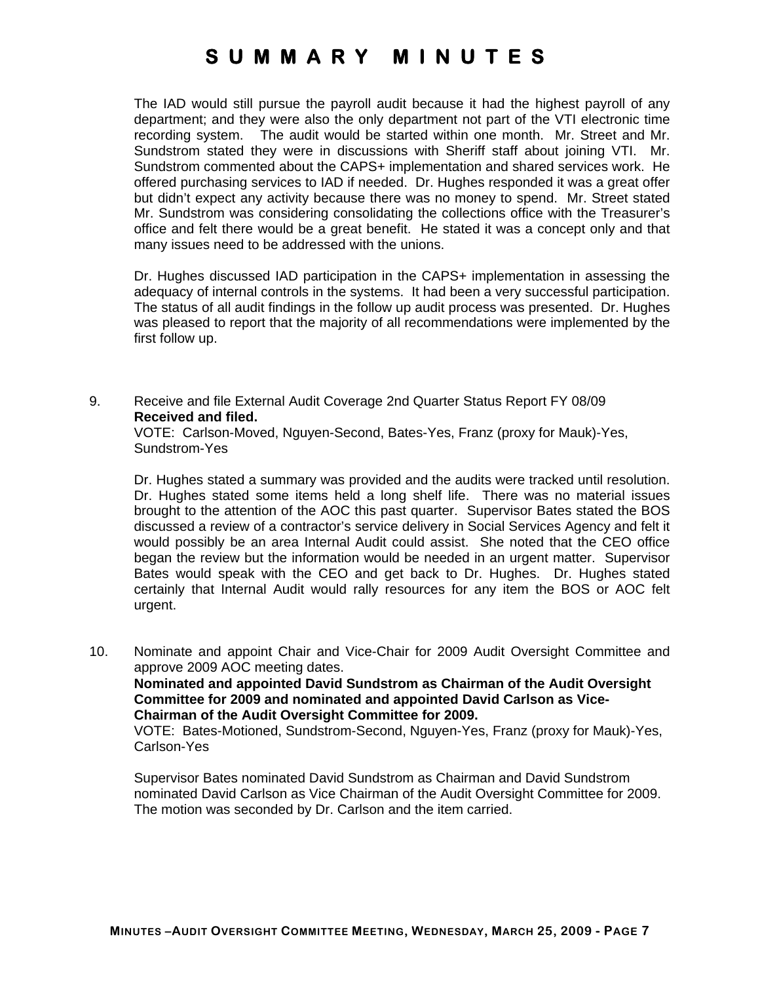The IAD would still pursue the payroll audit because it had the highest payroll of any department; and they were also the only department not part of the VTI electronic time recording system. The audit would be started within one month. Mr. Street and Mr. Sundstrom stated they were in discussions with Sheriff staff about joining VTI. Mr. Sundstrom commented about the CAPS+ implementation and shared services work. He offered purchasing services to IAD if needed. Dr. Hughes responded it was a great offer but didn't expect any activity because there was no money to spend. Mr. Street stated Mr. Sundstrom was considering consolidating the collections office with the Treasurer's office and felt there would be a great benefit. He stated it was a concept only and that many issues need to be addressed with the unions.

Dr. Hughes discussed IAD participation in the CAPS+ implementation in assessing the adequacy of internal controls in the systems. It had been a very successful participation. The status of all audit findings in the follow up audit process was presented. Dr. Hughes was pleased to report that the majority of all recommendations were implemented by the first follow up.

9. Receive and file External Audit Coverage 2nd Quarter Status Report FY 08/09 **Received and filed.** 

VOTE: Carlson-Moved, Nguyen-Second, Bates-Yes, Franz (proxy for Mauk)-Yes, Sundstrom-Yes

Dr. Hughes stated a summary was provided and the audits were tracked until resolution. Dr. Hughes stated some items held a long shelf life. There was no material issues brought to the attention of the AOC this past quarter. Supervisor Bates stated the BOS discussed a review of a contractor's service delivery in Social Services Agency and felt it would possibly be an area Internal Audit could assist. She noted that the CEO office began the review but the information would be needed in an urgent matter. Supervisor Bates would speak with the CEO and get back to Dr. Hughes. Dr. Hughes stated certainly that Internal Audit would rally resources for any item the BOS or AOC felt urgent.

10. Nominate and appoint Chair and Vice-Chair for 2009 Audit Oversight Committee and approve 2009 AOC meeting dates.

**Nominated and appointed David Sundstrom as Chairman of the Audit Oversight Committee for 2009 and nominated and appointed David Carlson as Vice-Chairman of the Audit Oversight Committee for 2009.** 

VOTE: Bates-Motioned, Sundstrom-Second, Nguyen-Yes, Franz (proxy for Mauk)-Yes, Carlson-Yes

Supervisor Bates nominated David Sundstrom as Chairman and David Sundstrom nominated David Carlson as Vice Chairman of the Audit Oversight Committee for 2009. The motion was seconded by Dr. Carlson and the item carried.